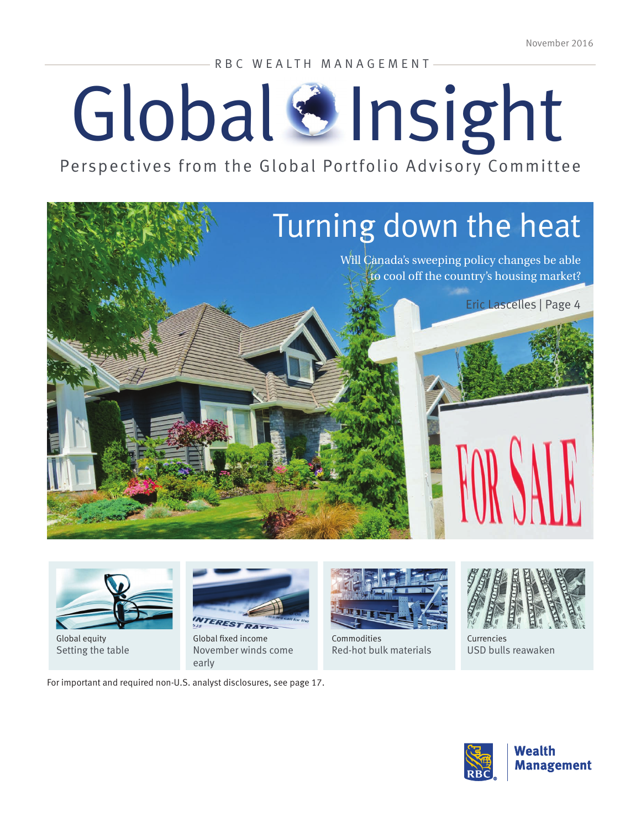RBC WEALTH MANAGEMENT

# Global & Insight

Perspectives from the Global Portfolio Advisory Committee





Global equity [Setting the table](#page-6-0)



Global fixed income [November winds come](#page-9-0)  [early](#page-9-0)

For important and required non-U.S. analyst disclosures, see page 17.



Commodities [Red-hot bulk materials](#page-11-0)



Currencies [USD bulls reawaken](#page-12-0)

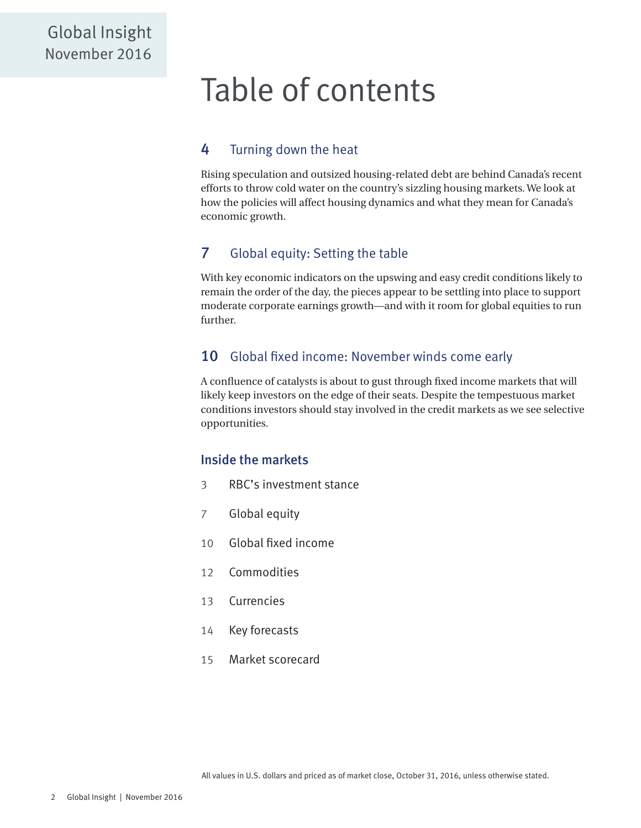# Table of contents

### [4](#page-3-0) [Turning down the heat](#page-3-0)

Rising speculation and outsized housing-related debt are behind Canada's recent efforts to throw cold water on the country's sizzling housing markets. We look at how the policies will affect housing dynamics and what they mean for Canada's economic growth.

### [7](#page-6-0) [Global equity: Setting the table](#page-6-0)

With key economic indicators on the upswing and easy credit conditions likely to remain the order of the day, the pieces appear to be settling into place to support moderate corporate earnings growth—and with it room for global equities to run further.

#### [10](#page-9-0) [Global fixed income: November winds come early](#page-9-0)

A confluence of catalysts is about to gust through fixed income markets that will likely keep investors on the edge of their seats. Despite the tempestuous market conditions investors should stay involved in the credit markets as we see selective opportunities.

#### Inside the markets

- [3](#page-2-0) [RBC's investment stance](#page-2-0)
- [7](#page-6-0) [Global equity](#page-6-0)
- [10](#page-9-0) [Global fixed income](#page-9-0)
- [12](#page-11-0) [Commodities](#page-11-0)
- [13](#page-12-0) [Currencies](#page-12-0)
- [14](#page-13-0) [Key forecasts](#page-13-0)
- [15](#page-14-0) [Market scorecard](#page-14-0)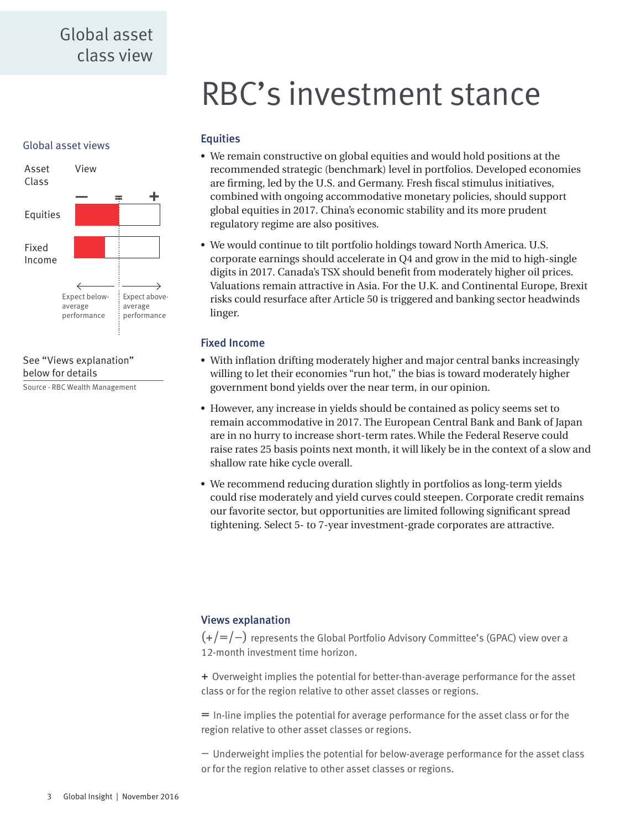# RBC's investment stance

#### <span id="page-2-0"></span>Global asset views





Source - RBC Wealth Management

#### **Equities**

- We remain constructive on global equities and would hold positions at the recommended strategic (benchmark) level in portfolios. Developed economies are firming, led by the U.S. and Germany. Fresh fiscal stimulus initiatives, combined with ongoing accommodative monetary policies, should support global equities in 2017. China's economic stability and its more prudent regulatory regime are also positives.
- We would continue to tilt portfolio holdings toward North America. U.S. corporate earnings should accelerate in Q4 and grow in the mid to high-single digits in 2017. Canada's TSX should benefit from moderately higher oil prices. Valuations remain attractive in Asia. For the U.K. and Continental Europe, Brexit risks could resurface after Article 50 is triggered and banking sector headwinds linger.

#### Fixed Income

- With inflation drifting moderately higher and major central banks increasingly willing to let their economies "run hot," the bias is toward moderately higher government bond yields over the near term, in our opinion.
- However, any increase in yields should be contained as policy seems set to remain accommodative in 2017. The European Central Bank and Bank of Japan are in no hurry to increase short-term rates. While the Federal Reserve could raise rates 25 basis points next month, it will likely be in the context of a slow and shallow rate hike cycle overall.
- We recommend reducing duration slightly in portfolios as long-term yields could rise moderately and yield curves could steepen. Corporate credit remains our favorite sector, but opportunities are limited following significant spread tightening. Select 5- to 7-year investment-grade corporates are attractive.

#### Views explanation

 $(+/-/-)$  represents the Global Portfolio Advisory Committee's (GPAC) view over a 12-month investment time horizon.

+ Overweight implies the potential for better-than-average performance for the asset class or for the region relative to other asset classes or regions.

= In-line implies the potential for average performance for the asset class or for the region relative to other asset classes or regions.

– Underweight implies the potential for below-average performance for the asset class or for the region relative to other asset classes or regions.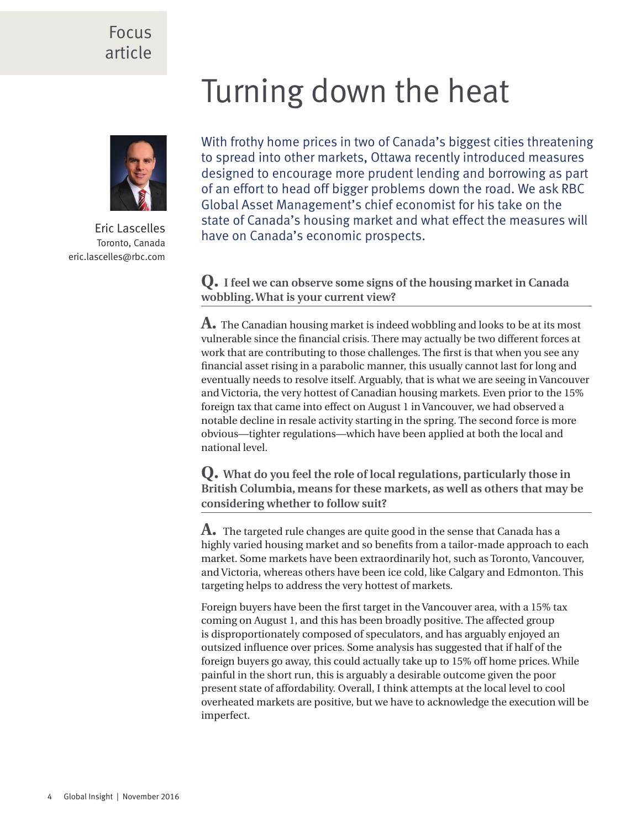### <span id="page-3-0"></span>Focus article

# Turning down the heat



Eric Lascelles Toronto, Canada eric.lascelles@rbc.com

With frothy home prices in two of Canada's biggest cities threatening to spread into other markets, Ottawa recently introduced measures designed to encourage more prudent lending and borrowing as part of an effort to head off bigger problems down the road. We ask RBC Global Asset Management's chief economist for his take on the state of Canada's housing market and what effect the measures will have on Canada's economic prospects.

**Q. I feel we can observe some signs of the housing market in Canada wobbling. What is your current view?**

**A.** The Canadian housing market is indeed wobbling and looks to be at its most vulnerable since the financial crisis. There may actually be two different forces at work that are contributing to those challenges. The first is that when you see any financial asset rising in a parabolic manner, this usually cannot last for long and eventually needs to resolve itself. Arguably, that is what we are seeing in Vancouver and Victoria, the very hottest of Canadian housing markets. Even prior to the 15% foreign tax that came into effect on August 1 in Vancouver, we had observed a notable decline in resale activity starting in the spring. The second force is more obvious—tighter regulations—which have been applied at both the local and national level.

**Q. What do you feel the role of local regulations, particularly those in British Columbia, means for these markets, as well as others that may be considering whether to follow suit?** 

**A.** The targeted rule changes are quite good in the sense that Canada has a highly varied housing market and so benefits from a tailor-made approach to each market. Some markets have been extraordinarily hot, such as Toronto, Vancouver, and Victoria, whereas others have been ice cold, like Calgary and Edmonton. This targeting helps to address the very hottest of markets.

Foreign buyers have been the first target in the Vancouver area, with a 15% tax coming on August 1, and this has been broadly positive. The affected group is disproportionately composed of speculators, and has arguably enjoyed an outsized influence over prices. Some analysis has suggested that if half of the foreign buyers go away, this could actually take up to 15% off home prices. While painful in the short run, this is arguably a desirable outcome given the poor present state of affordability. Overall, I think attempts at the local level to cool overheated markets are positive, but we have to acknowledge the execution will be imperfect.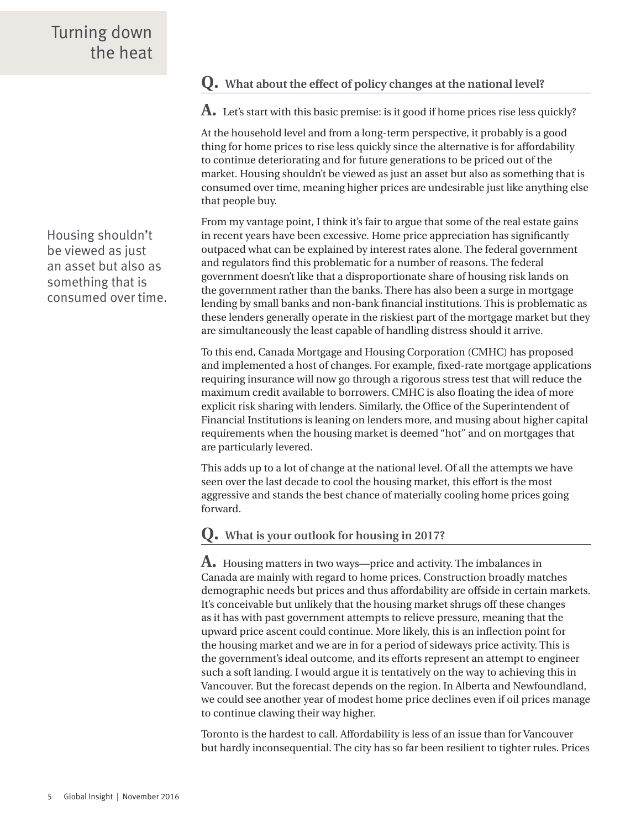Housing shouldn't be viewed as just an asset but also as something that is consumed over time.

#### **Q. What about the effect of policy changes at the national level?**

**A.** Let's start with this basic premise: is it good if home prices rise less quickly?

At the household level and from a long-term perspective, it probably is a good thing for home prices to rise less quickly since the alternative is for affordability to continue deteriorating and for future generations to be priced out of the market. Housing shouldn't be viewed as just an asset but also as something that is consumed over time, meaning higher prices are undesirable just like anything else that people buy.

From my vantage point, I think it's fair to argue that some of the real estate gains in recent years have been excessive. Home price appreciation has significantly outpaced what can be explained by interest rates alone. The federal government and regulators find this problematic for a number of reasons. The federal government doesn't like that a disproportionate share of housing risk lands on the government rather than the banks. There has also been a surge in mortgage lending by small banks and non-bank financial institutions. This is problematic as these lenders generally operate in the riskiest part of the mortgage market but they are simultaneously the least capable of handling distress should it arrive.

To this end, Canada Mortgage and Housing Corporation (CMHC) has proposed and implemented a host of changes. For example, fixed-rate mortgage applications requiring insurance will now go through a rigorous stress test that will reduce the maximum credit available to borrowers. CMHC is also floating the idea of more explicit risk sharing with lenders. Similarly, the Office of the Superintendent of Financial Institutions is leaning on lenders more, and musing about higher capital requirements when the housing market is deemed "hot" and on mortgages that are particularly levered.

This adds up to a lot of change at the national level. Of all the attempts we have seen over the last decade to cool the housing market, this effort is the most aggressive and stands the best chance of materially cooling home prices going forward.

#### **Q. What is your outlook for housing in 2017?**

**A.** Housing matters in two ways—price and activity. The imbalances in Canada are mainly with regard to home prices. Construction broadly matches demographic needs but prices and thus affordability are offside in certain markets. It's conceivable but unlikely that the housing market shrugs off these changes as it has with past government attempts to relieve pressure, meaning that the upward price ascent could continue. More likely, this is an inflection point for the housing market and we are in for a period of sideways price activity. This is the government's ideal outcome, and its efforts represent an attempt to engineer such a soft landing. I would argue it is tentatively on the way to achieving this in Vancouver. But the forecast depends on the region. In Alberta and Newfoundland, we could see another year of modest home price declines even if oil prices manage to continue clawing their way higher.

Toronto is the hardest to call. Affordability is less of an issue than for Vancouver but hardly inconsequential. The city has so far been resilient to tighter rules. Prices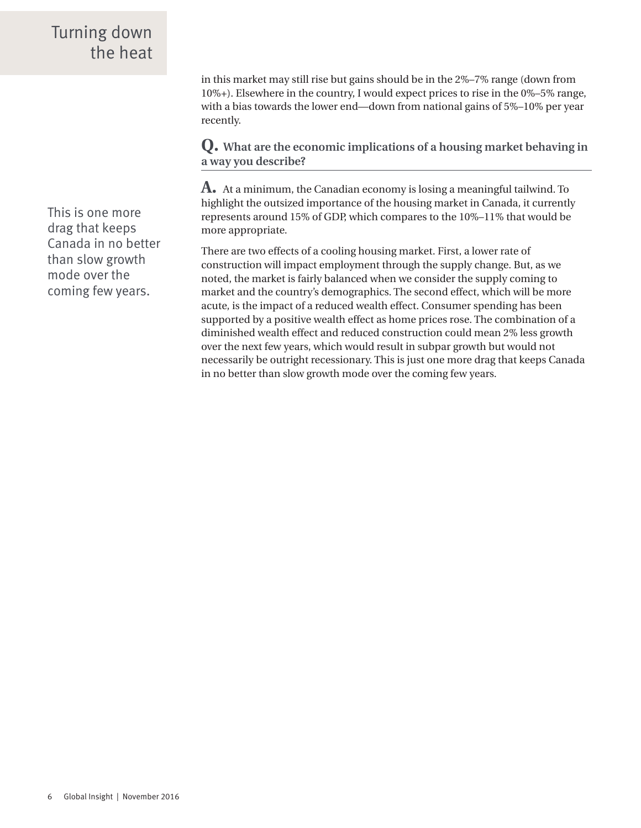## Turning down the heat

This is one more drag that keeps Canada in no better than slow growth mode over the coming few years.

in this market may still rise but gains should be in the 2%–7% range (down from 10%+). Elsewhere in the country, I would expect prices to rise in the 0%–5% range, with a bias towards the lower end—down from national gains of 5%–10% per year recently.

**Q. What are the economic implications of a housing market behaving in a way you describe?** 

**A.** At a minimum, the Canadian economy is losing a meaningful tailwind. To highlight the outsized importance of the housing market in Canada, it currently represents around 15% of GDP, which compares to the 10%–11% that would be more appropriate.

There are two effects of a cooling housing market. First, a lower rate of construction will impact employment through the supply change. But, as we noted, the market is fairly balanced when we consider the supply coming to market and the country's demographics. The second effect, which will be more acute, is the impact of a reduced wealth effect. Consumer spending has been supported by a positive wealth effect as home prices rose. The combination of a diminished wealth effect and reduced construction could mean 2% less growth over the next few years, which would result in subpar growth but would not necessarily be outright recessionary. This is just one more drag that keeps Canada in no better than slow growth mode over the coming few years.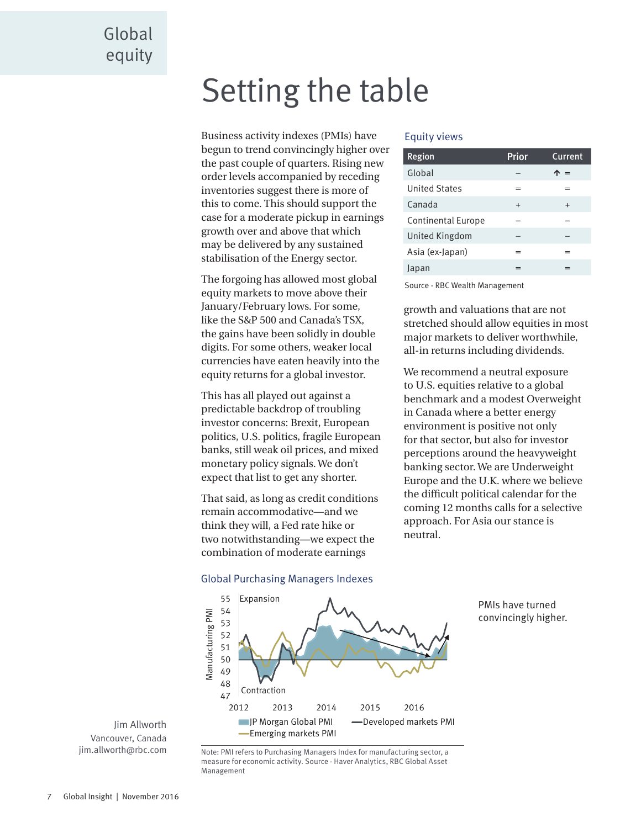# <span id="page-6-0"></span>Setting the table

Business activity indexes (PMIs) have begun to trend convincingly higher over the past couple of quarters. Rising new order levels accompanied by receding inventories suggest there is more of this to come. This should support the case for a moderate pickup in earnings growth over and above that which may be delivered by any sustained stabilisation of the Energy sector.

The forgoing has allowed most global equity markets to move above their January/February lows. For some, like the S&P 500 and Canada's TSX, the gains have been solidly in double digits. For some others, weaker local currencies have eaten heavily into the equity returns for a global investor.

This has all played out against a predictable backdrop of troubling investor concerns: Brexit, European politics, U.S. politics, fragile European banks, still weak oil prices, and mixed monetary policy signals. We don't expect that list to get any shorter.

That said, as long as credit conditions remain accommodative—and we think they will, a Fed rate hike or two notwithstanding—we expect the combination of moderate earnings

#### Equity views

| <b>Region</b>             | Prior     | <b>Current</b> |
|---------------------------|-----------|----------------|
| Global                    |           | $=$            |
| <b>United States</b>      | $=$       | $=$            |
| Canada                    | $\ddot{}$ | $\div$         |
| <b>Continental Europe</b> |           |                |
| United Kingdom            |           |                |
| Asia (ex-Japan)           | =         |                |
| Japan                     |           |                |

Source - RBC Wealth Management

growth and valuations that are not stretched should allow equities in most major markets to deliver worthwhile, all-in returns including dividends.

We recommend a neutral exposure to U.S. equities relative to a global benchmark and a modest Overweight in Canada where a better energy environment is positive not only for that sector, but also for investor perceptions around the heavyweight banking sector. We are Underweight Europe and the U.K. where we believe the difficult political calendar for the coming 12 months calls for a selective approach. For Asia our stance is neutral.

> PMIs have turned convincingly higher.



# Global Purchasing Managers Indexes

Jim Allworth Vancouver, Canada jim.allworth@rbc.com

Note: PMI refers to Purchasing Managers Index for manufacturing sector, a measure for economic activity. Source - Haver Analytics, RBC Global Asset Management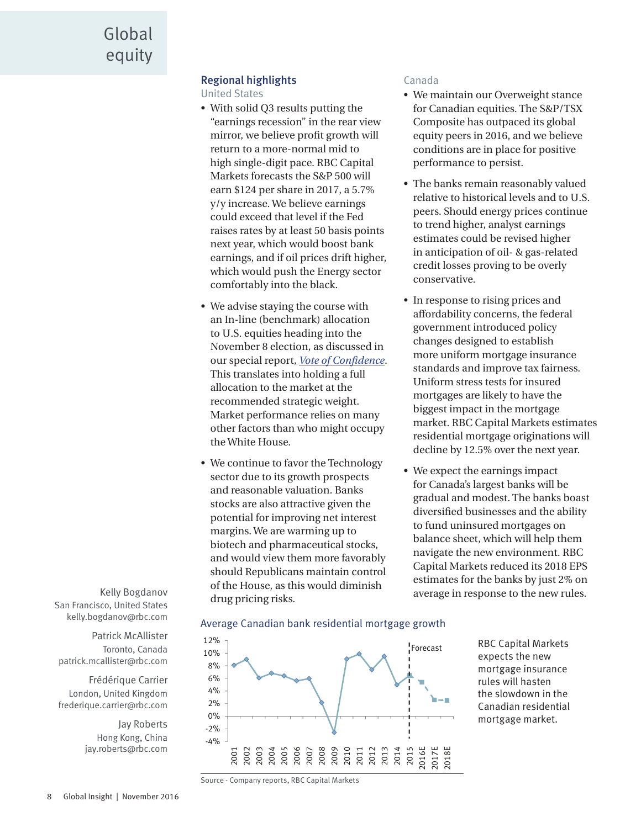#### Regional highlights

United States

- With solid Q3 results putting the "earnings recession" in the rear view mirror, we believe profit growth will return to a more-normal mid to high single-digit pace. RBC Capital Markets forecasts the S&P 500 will earn \$124 per share in 2017, a 5.7% y/y increase. We believe earnings could exceed that level if the Fed raises rates by at least 50 basis points next year, which would boost bank earnings, and if oil prices drift higher, which would push the Energy sector comfortably into the black.
- We advise staying the course with an In-line (benchmark) allocation to U.S. equities heading into the November 8 election, as discussed in our special report, *[Vote of Confidence](https://www.rbcinsight.com/WM/Share/ResearchViewer/?SSS_A10C85E23BBAB664FB330B1416FCAEE5)*. This translates into holding a full allocation to the market at the recommended strategic weight. Market performance relies on many other factors than who might occupy the White House.
- We continue to favor the Technology sector due to its growth prospects and reasonable valuation. Banks stocks are also attractive given the potential for improving net interest margins. We are warming up to biotech and pharmaceutical stocks, and would view them more favorably should Republicans maintain control of the House, as this would diminish drug pricing risks.

#### Canada

- We maintain our Overweight stance for Canadian equities. The S&P/TSX Composite has outpaced its global equity peers in 2016, and we believe conditions are in place for positive performance to persist.
- The banks remain reasonably valued relative to historical levels and to U.S. peers. Should energy prices continue to trend higher, analyst earnings estimates could be revised higher in anticipation of oil- & gas-related credit losses proving to be overly conservative.
- In response to rising prices and affordability concerns, the federal government introduced policy changes designed to establish more uniform mortgage insurance standards and improve tax fairness. Uniform stress tests for insured mortgages are likely to have the biggest impact in the mortgage market. RBC Capital Markets estimates residential mortgage originations will decline by 12.5% over the next year.
- We expect the earnings impact for Canada's largest banks will be gradual and modest. The banks boast diversified businesses and the ability to fund uninsured mortgages on balance sheet, which will help them navigate the new environment. RBC Capital Markets reduced its 2018 EPS estimates for the banks by just 2% on average in response to the new rules.

Kelly Bogdanov San Francisco, United States kelly.bogdanov@rbc.com

Patrick McAllister Toronto, Canada patrick.mcallister@rbc.com

Frédérique Carrier London, United Kingdom frederique.carrier@rbc.com

> Jay Roberts Hong Kong, China jay.roberts@rbc.com





RBC Capital Markets expects the new mortgage insurance rules will hasten the slowdown in the Canadian residential mortgage market.

Source - Company reports, RBC Capital Markets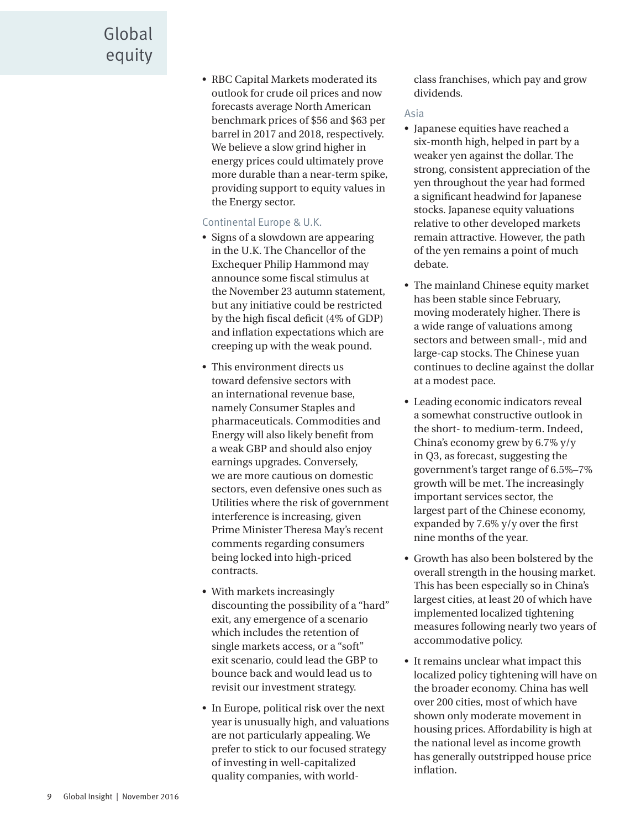# Global equity

• RBC Capital Markets moderated its outlook for crude oil prices and now forecasts average North American benchmark prices of \$56 and \$63 per barrel in 2017 and 2018, respectively. We believe a slow grind higher in energy prices could ultimately prove more durable than a near-term spike, providing support to equity values in the Energy sector.

#### Continental Europe & U.K.

- Signs of a slowdown are appearing in the U.K. The Chancellor of the Exchequer Philip Hammond may announce some fiscal stimulus at the November 23 autumn statement, but any initiative could be restricted by the high fiscal deficit (4% of GDP) and inflation expectations which are creeping up with the weak pound.
- This environment directs us toward defensive sectors with an international revenue base, namely Consumer Staples and pharmaceuticals. Commodities and Energy will also likely benefit from a weak GBP and should also enjoy earnings upgrades. Conversely, we are more cautious on domestic sectors, even defensive ones such as Utilities where the risk of government interference is increasing, given Prime Minister Theresa May's recent comments regarding consumers being locked into high-priced contracts.
- With markets increasingly discounting the possibility of a "hard" exit, any emergence of a scenario which includes the retention of single markets access, or a "soft" exit scenario, could lead the GBP to bounce back and would lead us to revisit our investment strategy.
- In Europe, political risk over the next year is unusually high, and valuations are not particularly appealing. We prefer to stick to our focused strategy of investing in well-capitalized quality companies, with world-

class franchises, which pay and grow dividends.

#### Asia

- Japanese equities have reached a six-month high, helped in part by a weaker yen against the dollar. The strong, consistent appreciation of the yen throughout the year had formed a significant headwind for Japanese stocks. Japanese equity valuations relative to other developed markets remain attractive. However, the path of the yen remains a point of much debate.
- The mainland Chinese equity market has been stable since February, moving moderately higher. There is a wide range of valuations among sectors and between small-, mid and large-cap stocks. The Chinese yuan continues to decline against the dollar at a modest pace.
- Leading economic indicators reveal a somewhat constructive outlook in the short- to medium-term. Indeed, China's economy grew by 6.7% y/y in Q3, as forecast, suggesting the government's target range of 6.5%–7% growth will be met. The increasingly important services sector, the largest part of the Chinese economy, expanded by 7.6% y/y over the first nine months of the year.
- Growth has also been bolstered by the overall strength in the housing market. This has been especially so in China's largest cities, at least 20 of which have implemented localized tightening measures following nearly two years of accommodative policy.
- It remains unclear what impact this localized policy tightening will have on the broader economy. China has well over 200 cities, most of which have shown only moderate movement in housing prices. Affordability is high at the national level as income growth has generally outstripped house price inflation.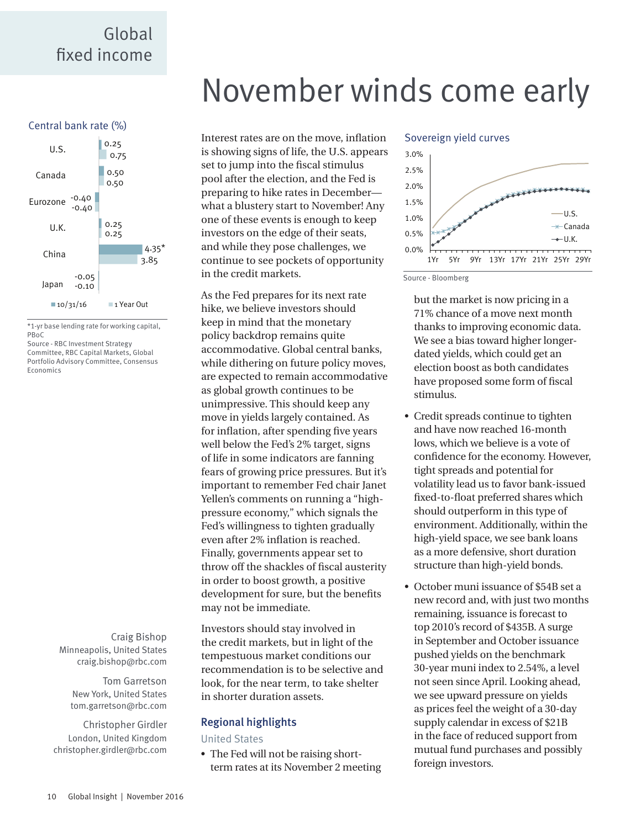### <span id="page-9-0"></span>Global fixed income



\*1-yr base lending rate for working capital, PBoC

Source - RBC Investment Strategy Committee, RBC Capital Markets, Global Portfolio Advisory Committee, Consensus Economics

> Craig Bishop Minneapolis, United States craig.bishop@rbc.com

> > Tom Garretson New York, United States tom.garretson@rbc.com

Christopher Girdler London, United Kingdom christopher.girdler@rbc.com

# November winds come early

Interest rates are on the move, inflation is showing signs of life, the U.S. appears set to jump into the fiscal stimulus pool after the election, and the Fed is preparing to hike rates in December what a blustery start to November! Any one of these events is enough to keep investors on the edge of their seats, and while they pose challenges, we continue to see pockets of opportunity in the credit markets.

As the Fed prepares for its next rate hike, we believe investors should keep in mind that the monetary policy backdrop remains quite accommodative. Global central banks, while dithering on future policy moves, are expected to remain accommodative as global growth continues to be unimpressive. This should keep any move in yields largely contained. As for inflation, after spending five years well below the Fed's 2% target, signs of life in some indicators are fanning fears of growing price pressures. But it's important to remember Fed chair Janet Yellen's comments on running a "highpressure economy," which signals the Fed's willingness to tighten gradually even after 2% inflation is reached. Finally, governments appear set to throw off the shackles of fiscal austerity in order to boost growth, a positive development for sure, but the benefits may not be immediate.

Investors should stay involved in the credit markets, but in light of the tempestuous market conditions our recommendation is to be selective and look, for the near term, to take shelter in shorter duration assets.

#### Regional highlights

United States

• The Fed will not be raising shortterm rates at its November 2 meeting

#### Sovereign yield curves



Source - Bloomberg

but the market is now pricing in a 71% chance of a move next month thanks to improving economic data. We see a bias toward higher longerdated yields, which could get an election boost as both candidates have proposed some form of fiscal stimulus.

- Credit spreads continue to tighten and have now reached 16-month lows, which we believe is a vote of confidence for the economy. However, tight spreads and potential for volatility lead us to favor bank-issued fixed-to-float preferred shares which should outperform in this type of environment. Additionally, within the high-yield space, we see bank loans as a more defensive, short duration structure than high-yield bonds.
- October muni issuance of \$54B set a new record and, with just two months remaining, issuance is forecast to top 2010's record of \$435B. A surge in September and October issuance pushed yields on the benchmark 30-year muni index to 2.54%, a level not seen since April. Looking ahead, we see upward pressure on yields as prices feel the weight of a 30-day supply calendar in excess of \$21B in the face of reduced support from mutual fund purchases and possibly foreign investors.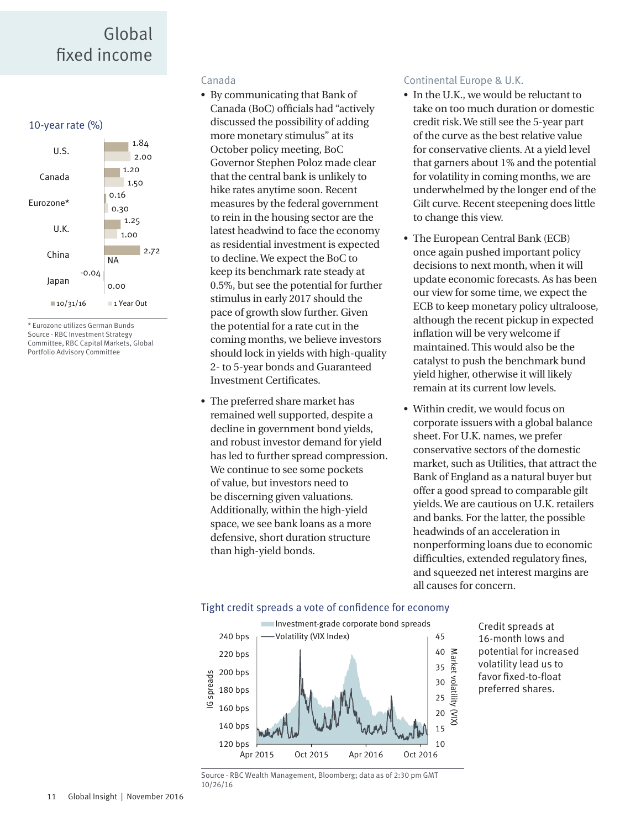### Global fixed income



\* Eurozone utilizes German Bunds Source - RBC Investment Strategy Committee, RBC Capital Markets, Global Portfolio Advisory Committee

#### Canada

- By communicating that Bank of Canada (BoC) officials had "actively discussed the possibility of adding more monetary stimulus" at its October policy meeting, BoC Governor Stephen Poloz made clear that the central bank is unlikely to hike rates anytime soon. Recent measures by the federal government to rein in the housing sector are the latest headwind to face the economy as residential investment is expected to decline. We expect the BoC to keep its benchmark rate steady at 0.5%, but see the potential for further stimulus in early 2017 should the pace of growth slow further. Given the potential for a rate cut in the coming months, we believe investors should lock in yields with high-quality 2- to 5-year bonds and Guaranteed Investment Certificates.
- The preferred share market has remained well supported, despite a decline in government bond yields, and robust investor demand for yield has led to further spread compression. We continue to see some pockets of value, but investors need to be discerning given valuations. Additionally, within the high-yield space, we see bank loans as a more defensive, short duration structure than high-yield bonds.

#### Continental Europe & U.K.

- In the U.K., we would be reluctant to take on too much duration or domestic credit risk. We still see the 5-year part of the curve as the best relative value for conservative clients. At a yield level that garners about 1% and the potential for volatility in coming months, we are underwhelmed by the longer end of the Gilt curve. Recent steepening does little to change this view.
- The European Central Bank (ECB) once again pushed important policy decisions to next month, when it will update economic forecasts. As has been our view for some time, we expect the ECB to keep monetary policy ultraloose, although the recent pickup in expected inflation will be very welcome if maintained. This would also be the catalyst to push the benchmark bund yield higher, otherwise it will likely remain at its current low levels.
- Within credit, we would focus on corporate issuers with a global balance sheet. For U.K. names, we prefer conservative sectors of the domestic market, such as Utilities, that attract the Bank of England as a natural buyer but offer a good spread to comparable gilt yields. We are cautious on U.K. retailers and banks. For the latter, the possible headwinds of an acceleration in nonperforming loans due to economic difficulties, extended regulatory fines, and squeezed net interest margins are all causes for concern.

#### Tight credit spreads a vote of confidence for economy



Credit spreads at 16-month lows and potential for increased volatility lead us to favor fixed-to-float preferred shares.

Source - RBC Wealth Management, Bloomberg; data as of 2:30 pm GMT 10/26/16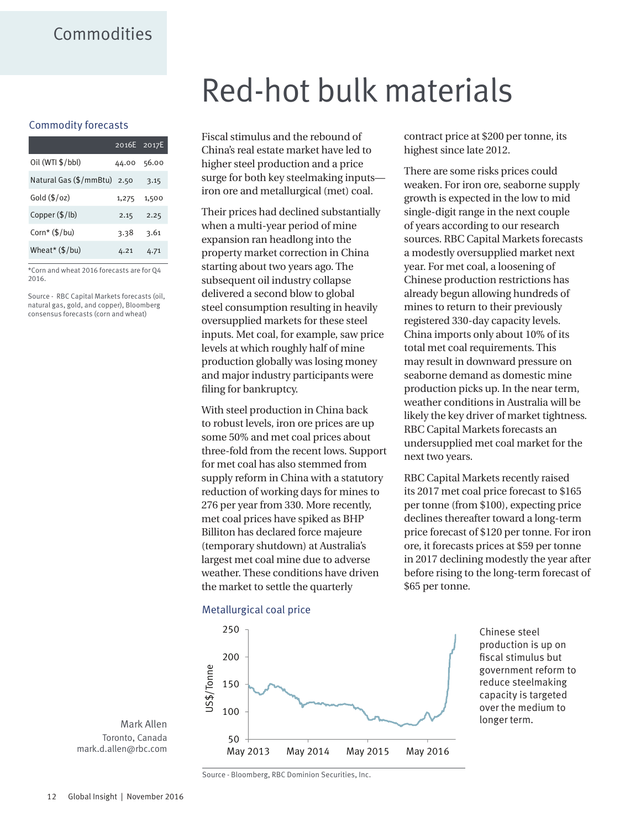### <span id="page-11-0"></span>Commodities

#### Commodity forecasts

|                         | 2016E 2017E |       |
|-------------------------|-------------|-------|
| Oil (WTI \$/bbl)        | 44.00       | 56.00 |
| Natural Gas (\$/mmBtu)  | 2.50        | 3.15  |
| Gold $(\frac{5}{oz})$   | 1,275       | 1,500 |
| Copper (\$/lb)          | 2.15        | 2.25  |
| Corn* $(\frac{5}{bu})$  | 3.38        | 3.61  |
| Wheat* $(\frac{5}{bu})$ | 4.21        | 4.71  |
|                         |             |       |

\*Corn and wheat 2016 forecasts are for Q4 2016.

Source - RBC Capital Markets forecasts (oil, natural gas, gold, and copper), Bloomberg consensus forecasts (corn and wheat)

# Red-hot bulk materials

Fiscal stimulus and the rebound of China's real estate market have led to higher steel production and a price surge for both key steelmaking inputs iron ore and metallurgical (met) coal.

Their prices had declined substantially when a multi-year period of mine expansion ran headlong into the property market correction in China starting about two years ago. The subsequent oil industry collapse delivered a second blow to global steel consumption resulting in heavily oversupplied markets for these steel inputs. Met coal, for example, saw price levels at which roughly half of mine production globally was losing money and major industry participants were filing for bankruptcy.

With steel production in China back to robust levels, iron ore prices are up some 50% and met coal prices about three-fold from the recent lows. Support for met coal has also stemmed from supply reform in China with a statutory reduction of working days for mines to 276 per year from 330. More recently, met coal prices have spiked as BHP Billiton has declared force majeure (temporary shutdown) at Australia's largest met coal mine due to adverse weather. These conditions have driven the market to settle the quarterly

contract price at \$200 per tonne, its highest since late 2012.

There are some risks prices could weaken. For iron ore, seaborne supply growth is expected in the low to mid single-digit range in the next couple of years according to our research sources. RBC Capital Markets forecasts a modestly oversupplied market next year. For met coal, a loosening of Chinese production restrictions has already begun allowing hundreds of mines to return to their previously registered 330-day capacity levels. China imports only about 10% of its total met coal requirements. This may result in downward pressure on seaborne demand as domestic mine production picks up. In the near term, weather conditions in Australia will be likely the key driver of market tightness. RBC Capital Markets forecasts an undersupplied met coal market for the next two years.

RBC Capital Markets recently raised its 2017 met coal price forecast to \$165 per tonne (from \$100), expecting price declines thereafter toward a long-term price forecast of \$120 per tonne. For iron ore, it forecasts prices at \$59 per tonne in 2017 declining modestly the year after before rising to the long-term forecast of \$65 per tonne.



Chinese steel production is up on fiscal stimulus but government reform to reduce steelmaking capacity is targeted over the medium to longer term.

Mark Allen Toronto, Canada mark.d.allen@rbc.com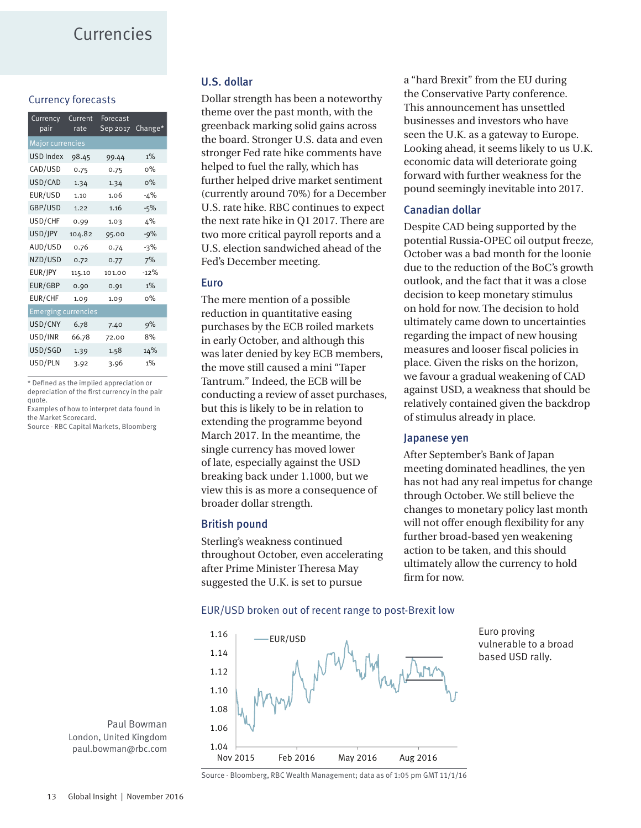### <span id="page-12-0"></span>Currencies

#### Currency forecasts

| Currency<br>pair           | Current<br>rate | Forecast<br>Sep 2017 | Change* |  |  |
|----------------------------|-----------------|----------------------|---------|--|--|
| <b>Major currencies</b>    |                 |                      |         |  |  |
| <b>USD Index</b>           | 98.45           | 99.44                | $1\%$   |  |  |
| CAD/USD                    | 0.75            | 0.75                 | о%      |  |  |
| USD/CAD                    | 1.34            | 1.34                 | $0\%$   |  |  |
| EUR/USD                    | 1.10            | 1.06                 | -4%     |  |  |
| GBP/USD                    | 1.22            | 1.16                 | $-5%$   |  |  |
| USD/CHF                    | 0.99            | 1.03                 | 4%      |  |  |
| USD/JPY                    | 104.82          | 95.00                | -9%     |  |  |
| AUD/USD                    | 0.76            | 0.74                 | $-3%$   |  |  |
| NZD/USD                    | 0.72            | 0.77                 | 7%      |  |  |
| eur/Jpy                    | 115.10          | 101.00               | $-12%$  |  |  |
| EUR/GBP                    | 0.90            | 0.91                 | $1\%$   |  |  |
| EUR/CHF                    | 1.09            | 1.09                 | о%      |  |  |
| <b>Emerging currencies</b> |                 |                      |         |  |  |
| USD/CNY                    | 6.78            | 7.40                 | 9%      |  |  |
| USD/INR                    | 66.78           | 72.00                | 8%      |  |  |
| USD/SGD                    | 1.39            | 1.58                 | 14%     |  |  |
| USD/PLN                    | 3.92            | 3.96                 | $1\%$   |  |  |

\* Defined as the implied appreciation or depreciation of the first currency in the pair quote.

Examples of how to interpret data found in the Market Scorecard.

Source - RBC Capital Markets, Bloomberg

#### U.S. dollar

Dollar strength has been a noteworthy theme over the past month, with the greenback marking solid gains across the board. Stronger U.S. data and even stronger Fed rate hike comments have helped to fuel the rally, which has further helped drive market sentiment (currently around 70%) for a December U.S. rate hike. RBC continues to expect the next rate hike in Q1 2017. There are two more critical payroll reports and a U.S. election sandwiched ahead of the Fed's December meeting.

#### Euro

The mere mention of a possible reduction in quantitative easing purchases by the ECB roiled markets in early October, and although this was later denied by key ECB members, the move still caused a mini "Taper Tantrum." Indeed, the ECB will be conducting a review of asset purchases, but this is likely to be in relation to extending the programme beyond March 2017. In the meantime, the single currency has moved lower of late, especially against the USD breaking back under 1.1000, but we view this is as more a consequence of broader dollar strength.

#### British pound

Sterling's weakness continued throughout October, even accelerating after Prime Minister Theresa May suggested the U.K. is set to pursue

a "hard Brexit" from the EU during the Conservative Party conference. This announcement has unsettled businesses and investors who have seen the U.K. as a gateway to Europe. Looking ahead, it seems likely to us U.K. economic data will deteriorate going forward with further weakness for the pound seemingly inevitable into 2017.

#### Canadian dollar

Despite CAD being supported by the potential Russia-OPEC oil output freeze, October was a bad month for the loonie due to the reduction of the BoC's growth outlook, and the fact that it was a close decision to keep monetary stimulus on hold for now. The decision to hold ultimately came down to uncertainties regarding the impact of new housing measures and looser fiscal policies in place. Given the risks on the horizon, we favour a gradual weakening of CAD against USD, a weakness that should be relatively contained given the backdrop of stimulus already in place.

#### Japanese yen

After September's Bank of Japan meeting dominated headlines, the yen has not had any real impetus for change through October. We still believe the changes to monetary policy last month will not offer enough flexibility for any further broad-based yen weakening action to be taken, and this should ultimately allow the currency to hold firm for now.



EUR/USD broken out of recent range to post-Brexit low

Euro proving vulnerable to a broad based USD rally.

Paul Bowman London, United Kingdom paul.bowman@rbc.com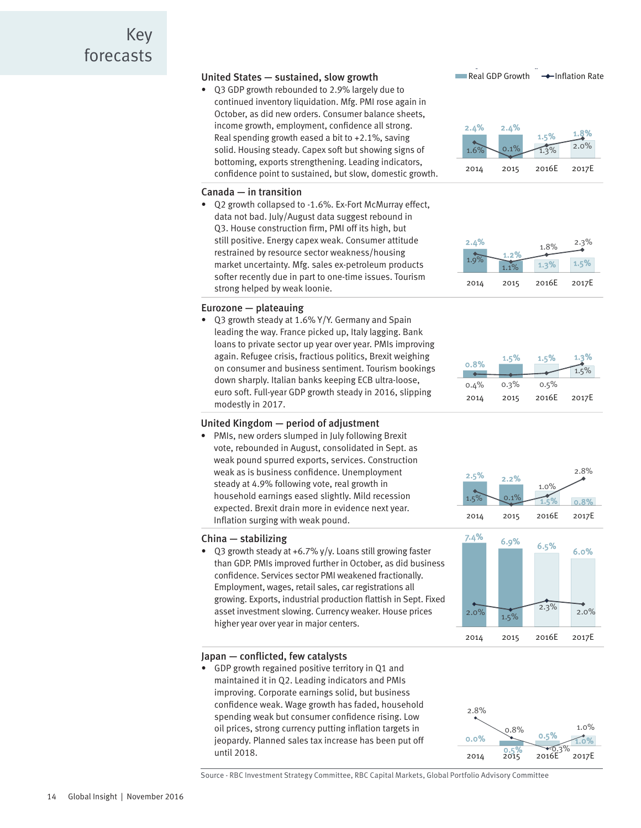#### <span id="page-13-0"></span>United States — sustained, slow growth

• Q3 GDP growth rebounded to 2.9% largely due to continued inventory liquidation. Mfg. PMI rose again in October, as did new orders. Consumer balance sheets, income growth, employment, confidence all strong. Real spending growth eased a bit to +2.1%, saving solid. Housing steady. Capex soft but showing signs of bottoming, exports strengthening. Leading indicators, confidence point to sustained, but slow, domestic growth.

#### Canada — in transition

• Q2 growth collapsed to -1.6%. Ex-Fort McMurray effect, data not bad. July/August data suggest rebound in Q3. House construction firm, PMI off its high, but still positive. Energy capex weak. Consumer attitude restrained by resource sector weakness/housing market uncertainty. Mfg. sales ex-petroleum products softer recently due in part to one-time issues. Tourism strong helped by weak loonie.

#### Eurozone — plateauing

• Q3 growth steady at 1.6% Y/Y. Germany and Spain leading the way. France picked up, Italy lagging. Bank loans to private sector up year over year. PMIs improving again. Refugee crisis, fractious politics, Brexit weighing on consumer and business sentiment. Tourism bookings down sharply. Italian banks keeping ECB ultra-loose, euro soft. Full-year GDP growth steady in 2016, slipping modestly in 2017.

#### United Kingdom — period of adjustment

• PMIs, new orders slumped in July following Brexit vote, rebounded in August, consolidated in Sept. as weak pound spurred exports, services. Construction weak as is business confidence. Unemployment steady at 4.9% following vote, real growth in household earnings eased slightly. Mild recession expected. Brexit drain more in evidence next year. Inflation surging with weak pound.

#### China — stabilizing

• Q3 growth steady at +6.7% y/y. Loans still growing faster than GDP. PMIs improved further in October, as did business confidence. Services sector PMI weakened fractionally. Employment, wages, retail sales, car registrations all growing. Exports, industrial production flattish in Sept. Fixed asset investment slowing. Currency weaker. House prices higher year over year in major centers.

#### Japan — conflicted, few catalysts

• GDP growth regained positive territory in Q1 and maintained it in Q2. Leading indicators and PMIs improving. Corporate earnings solid, but business confidence weak. Wage growth has faded, household spending weak but consumer confidence rising. Low oil prices, strong currency putting inflation targets in jeopardy. Planned sales tax increase has been put off until 2018.





#### 2.4%  $1.2\%$  1.2% 1.3% 1.5%  $1.8\%$   $2.3\%$ 2014 2015 2016E 2017E









Source - RBC Investment Strategy Committee, RBC Capital Markets, Global Portfolio Advisory Committee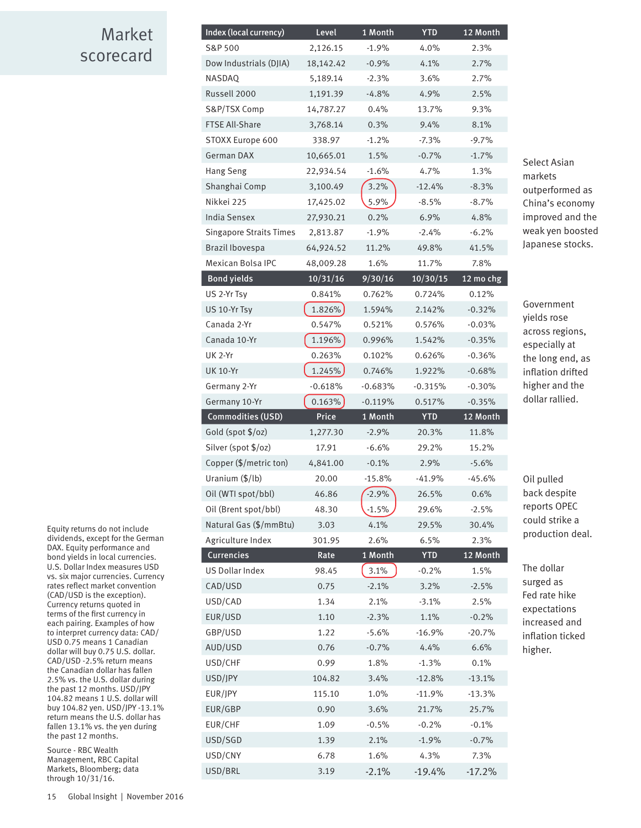### <span id="page-14-0"></span>Market scorecard

| Index (local currency)         | Level     | 1 Month   | <b>YTD</b> | 12 Month  |
|--------------------------------|-----------|-----------|------------|-----------|
| S&P 500                        | 2,126.15  | $-1.9%$   | 4.0%       | 2.3%      |
| Dow Industrials (DJIA)         | 18,142.42 | $-0.9%$   | 4.1%       | 2.7%      |
| NASDAQ                         | 5,189.14  | $-2.3%$   | 3.6%       | 2.7%      |
| Russell 2000                   | 1,191.39  | $-4.8%$   | 4.9%       | 2.5%      |
| S&P/TSX Comp                   | 14,787.27 | 0.4%      | 13.7%      | 9.3%      |
| <b>FTSE All-Share</b>          | 3,768.14  | 0.3%      | 9.4%       | 8.1%      |
| STOXX Europe 600               | 338.97    | $-1.2%$   | $-7.3%$    | $-9.7%$   |
| German DAX                     | 10,665.01 | 1.5%      | $-0.7%$    | $-1.7%$   |
| Hang Seng                      | 22,934.54 | $-1.6%$   | 4.7%       | 1.3%      |
| Shanghai Comp                  | 3,100.49  | 3.2%      | $-12.4%$   | $-8.3%$   |
| Nikkei 225                     | 17,425.02 | 5.9%      | $-8.5%$    | $-8.7%$   |
| India Sensex                   | 27,930.21 | 0.2%      | 6.9%       | 4.8%      |
| <b>Singapore Straits Times</b> | 2,813.87  | $-1.9%$   | $-2.4%$    | $-6.2%$   |
| Brazil Ibovespa                | 64,924.52 | 11.2%     | 49.8%      | 41.5%     |
| Mexican Bolsa IPC              | 48,009.28 | 1.6%      | 11.7%      | 7.8%      |
| <b>Bond yields</b>             | 10/31/16  | 9/30/16   | 10/30/15   | 12 mo chg |
| US 2-Yr Tsy                    | 0.841%    | 0.762%    | 0.724%     | 0.12%     |
| US 10-Yr Tsy                   | 1.826%    | 1.594%    | 2.142%     | $-0.32%$  |
| Canada 2-Yr                    | 0.547%    | 0.521%    | 0.576%     | $-0.03%$  |
| Canada 10-Yr                   | 1.196%    | 0.996%    | 1.542%     | $-0.35%$  |
| <b>UK 2-Yr</b>                 | 0.263%    | 0.102%    | 0.626%     | $-0.36%$  |
| <b>UK 10-Yr</b>                | 1.245%    | 0.746%    | 1.922%     | $-0.68%$  |
| Germany 2-Yr                   | $-0.618%$ | $-0.683%$ | -0.315%    | $-0.30%$  |
|                                |           |           |            |           |
| Germany 10-Yr                  | 0.163%    | $-0.119%$ | 0.517%     | $-0.35%$  |
| <b>Commodities (USD)</b>       | Price     | 1 Month   | <b>YTD</b> | 12 Month  |
| Gold (spot \$/oz)              | 1,277.30  | $-2.9%$   | 20.3%      | 11.8%     |
| Silver (spot \$/oz)            | 17.91     | $-6.6%$   | 29.2%      | 15.2%     |
| Copper (\$/metric ton)         | 4,841.00  | $-0.1%$   | 2.9%       | $-5.6%$   |
| Uranium (\$/lb)                | 20.00     | $-15.8%$  | $-41.9%$   | $-45.6%$  |
| Oil (WTI spot/bbl)             | 46.86     | $-2.9%$   | 26.5%      | 0.6%      |
| Oil (Brent spot/bbl)           | 48.30     | $-1.5%$   | 29.6%      | $-2.5%$   |
| Natural Gas (\$/mmBtu)         | 3.03      | 4.1%      | 29.5%      | 30.4%     |
| Agriculture Index              | 301.95    | 2.6%      | 6.5%       | 2.3%      |
| Currencies                     | Rate      | 1 Month   | <b>YTD</b> | 12 Month  |
| <b>US Dollar Index</b>         | 98.45     | 3.1%      | $-0.2%$    | 1.5%      |
| CAD/USD                        | 0.75      | $-2.1%$   | 3.2%       | $-2.5%$   |
| USD/CAD                        | 1.34      | 2.1%      | $-3.1%$    | 2.5%      |
| EUR/USD                        | 1.10      | $-2.3%$   | 1.1%       | $-0.2%$   |
| GBP/USD                        | 1.22      | $-5.6%$   | $-16.9%$   | $-20.7%$  |
| AUD/USD                        | 0.76      | $-0.7%$   | 4.4%       | 6.6%      |
| USD/CHF                        | 0.99      | 1.8%      | $-1.3%$    | 0.1%      |
| USD/JPY                        | 104.82    | 3.4%      | $-12.8%$   | $-13.1%$  |
| EUR/JPY                        | 115.10    | 1.0%      | $-11.9%$   | $-13.3%$  |
| EUR/GBP                        | 0.90      | 3.6%      | 21.7%      | 25.7%     |
| EUR/CHF                        | 1.09      | $-0.5%$   | $-0.2%$    | $-0.1%$   |
| USD/SGD                        | 1.39      | 2.1%      | $-1.9%$    | $-0.7%$   |
| USD/CNY                        | 6.78      | 1.6%      | 4.3%       | 7.3%      |

Select Asian markets outperformed as China's economy improved and the weak yen boosted Japanese stocks.

Government yields rose across regions, especially at the long end, as inflation drifted higher and the dollar rallied.

Oil pulled back despite reports OPEC could strike a production deal.

The dollar surged as Fed rate hike expectations increased and inflation ticked higher.

Equity returns do not include dividends, except for the German DAX. Equity performance and bond yields in local currencies. U.S. Dollar Index measures USD vs. six major currencies. Currency rates reflect market convention (CAD/USD is the exception). Currency returns quoted in terms of the first currency in each pairing. Examples of how to interpret currency data: CAD/ USD 0.75 means 1 Canadian dollar will buy 0.75 U.S. dollar. CAD/USD -2.5% return means the Canadian dollar has fallen 2.5% vs. the U.S. dollar during the past 12 months. USD/JPY 104.82 means 1 U.S. dollar will buy 104.82 yen. USD/JPY -13.1% return means the U.S. dollar has fallen 13.1% vs. the yen during the past 12 months.

Source - RBC Wealth Management, RBC Capital Markets, Bloomberg; data through 10/31/16.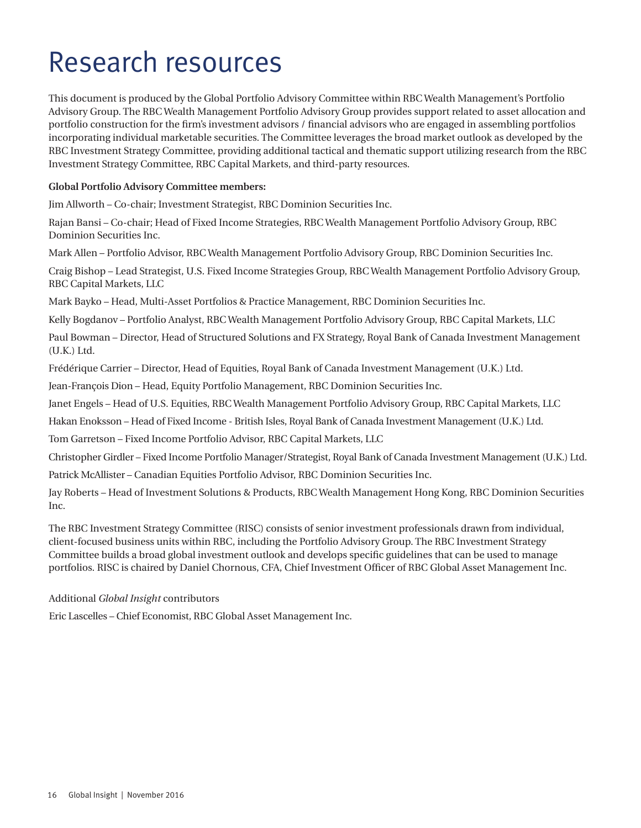# Research resources

This document is produced by the Global Portfolio Advisory Committee within RBC Wealth Management's Portfolio Advisory Group. The RBC Wealth Management Portfolio Advisory Group provides support related to asset allocation and portfolio construction for the firm's investment advisors / financial advisors who are engaged in assembling portfolios incorporating individual marketable securities. The Committee leverages the broad market outlook as developed by the RBC Investment Strategy Committee, providing additional tactical and thematic support utilizing research from the RBC Investment Strategy Committee, RBC Capital Markets, and third-party resources.

#### **Global Portfolio Advisory Committee members:**

Jim Allworth – Co-chair; Investment Strategist, RBC Dominion Securities Inc.

Rajan Bansi – Co-chair; Head of Fixed Income Strategies, RBC Wealth Management Portfolio Advisory Group, RBC Dominion Securities Inc.

Mark Allen – Portfolio Advisor, RBC Wealth Management Portfolio Advisory Group, RBC Dominion Securities Inc.

Craig Bishop – Lead Strategist, U.S. Fixed Income Strategies Group, RBC Wealth Management Portfolio Advisory Group, RBC Capital Markets, LLC

Mark Bayko – Head, Multi-Asset Portfolios & Practice Management, RBC Dominion Securities Inc.

Kelly Bogdanov – Portfolio Analyst, RBC Wealth Management Portfolio Advisory Group, RBC Capital Markets, LLC

Paul Bowman – Director, Head of Structured Solutions and FX Strategy, Royal Bank of Canada Investment Management (U.K.) Ltd.

Frédérique Carrier – Director, Head of Equities, Royal Bank of Canada Investment Management (U.K.) Ltd.

Jean-François Dion – Head, Equity Portfolio Management, RBC Dominion Securities Inc.

Janet Engels – Head of U.S. Equities, RBC Wealth Management Portfolio Advisory Group, RBC Capital Markets, LLC

Hakan Enoksson – Head of Fixed Income - British Isles, Royal Bank of Canada Investment Management (U.K.) Ltd.

Tom Garretson – Fixed Income Portfolio Advisor, RBC Capital Markets, LLC

Christopher Girdler – Fixed Income Portfolio Manager/Strategist, Royal Bank of Canada Investment Management (U.K.) Ltd.

Patrick McAllister – Canadian Equities Portfolio Advisor, RBC Dominion Securities Inc.

Jay Roberts – Head of Investment Solutions & Products, RBC Wealth Management Hong Kong, RBC Dominion Securities Inc.

The RBC Investment Strategy Committee (RISC) consists of senior investment professionals drawn from individual, client-focused business units within RBC, including the Portfolio Advisory Group. The RBC Investment Strategy Committee builds a broad global investment outlook and develops specific guidelines that can be used to manage portfolios. RISC is chaired by Daniel Chornous, CFA, Chief Investment Officer of RBC Global Asset Management Inc.

#### Additional *Global Insight* contributors

Eric Lascelles – Chief Economist, RBC Global Asset Management Inc.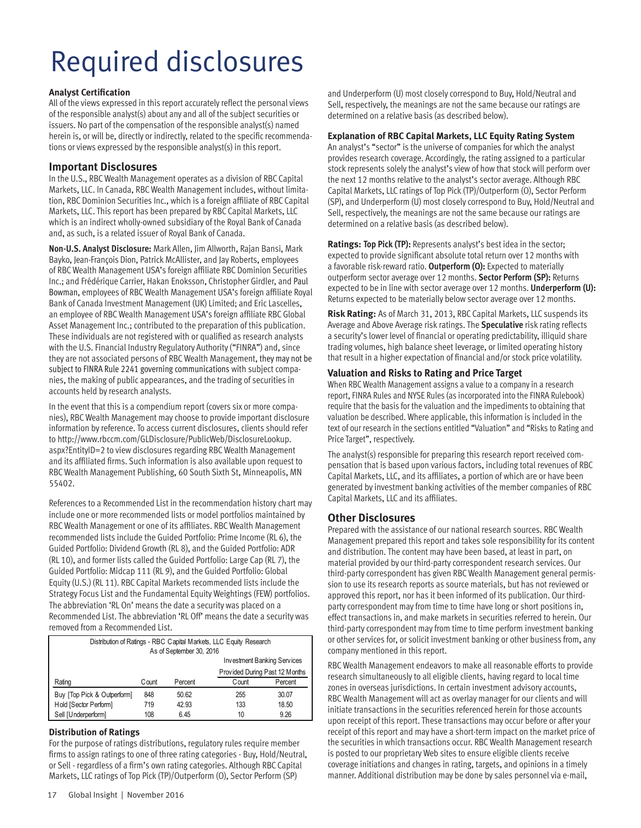# Required disclosures

#### **Analyst Certification**

All of the views expressed in this report accurately reflect the personal views of the responsible analyst(s) about any and all of the subject securities or issuers. No part of the compensation of the responsible analyst(s) named herein is, or will be, directly or indirectly, related to the specific recommendations or views expressed by the responsible analyst(s) in this report.

#### **Important Disclosures**

In the U.S., RBC Wealth Management operates as a division of RBC Capital Markets, LLC. In Canada, RBC Wealth Management includes, without limitation, RBC Dominion Securities Inc., which is a foreign affiliate of RBC Capital Markets, LLC. This report has been prepared by RBC Capital Markets, LLC which is an indirect wholly-owned subsidiary of the Royal Bank of Canada and, as such, is a related issuer of Royal Bank of Canada.

**Non-U.S. Analyst Disclosure:** Mark Allen, Jim Allworth, Rajan Bansi, Mark Bayko, Jean-François Dion, Patrick McAllister, and Jay Roberts, employees of RBC Wealth Management USA's foreign affiliate RBC Dominion Securities Inc.; and Frédérique Carrier, Hakan Enoksson, Christopher Girdler, and Paul Bowman, employees of RBC Wealth Management USA's foreign affiliate Royal Bank of Canada Investment Management (UK) Limited; and Eric Lascelles, an employee of RBC Wealth Management USA's foreign affiliate RBC Global Asset Management Inc.; contributed to the preparation of this publication. These individuals are not registered with or qualified as research analysts with the U.S. Financial Industry Regulatory Authority ("FINRA") and, since they are not associated persons of RBC Wealth Management, they may not be subject to FINRA Rule 2241 governing communications with subject companies, the making of public appearances, and the trading of securities in accounts held by research analysts.

In the event that this is a compendium report (covers six or more companies), RBC Wealth Management may choose to provide important disclosure information by reference. To access current disclosures, clients should refer to http://www.rbccm.com/GLDisclosure/PublicWeb/DisclosureLookup. aspx?EntityID=2 to view disclosures regarding RBC Wealth Management and its affiliated firms. Such information is also available upon request to RBC Wealth Management Publishing, 60 South Sixth St, Minneapolis, MN 55402.

References to a Recommended List in the recommendation history chart may include one or more recommended lists or model portfolios maintained by RBC Wealth Management or one of its affiliates. RBC Wealth Management recommended lists include the Guided Portfolio: Prime Income (RL 6), the Guided Portfolio: Dividend Growth (RL 8), and the Guided Portfolio: ADR (RL 10), and former lists called the Guided Portfolio: Large Cap (RL 7), the Guided Portfolio: Midcap 111 (RL 9), and the Guided Portfolio: Global Equity (U.S.) (RL 11). RBC Capital Markets recommended lists include the Strategy Focus List and the Fundamental Equity Weightings (FEW) portfolios. The abbreviation 'RL On' means the date a security was placed on a Recommended List. The abbreviation 'RL Off' means the date a security was removed from a Recommended List.

| Distribution of Ratings - RBC Capital Markets, LLC Equity Research<br>As of September 30, 2016 |                                |         |       |         |  |
|------------------------------------------------------------------------------------------------|--------------------------------|---------|-------|---------|--|
| Investment Banking Services                                                                    |                                |         |       |         |  |
|                                                                                                | Provided During Past 12 Months |         |       |         |  |
| Rating                                                                                         | Count                          | Percent | Count | Percent |  |
| Buy [Top Pick & Outperform]                                                                    | 848                            | 50.62   | 255   | 30.07   |  |
| Hold [Sector Perform]                                                                          | 719                            | 42.93   | 133   | 18.50   |  |
| Sell [Underperform]                                                                            | 108                            | 6.45    | 10    | 9.26    |  |

#### **Distribution of Ratings**

For the purpose of ratings distributions, regulatory rules require member firms to assign ratings to one of three rating categories - Buy, Hold/Neutral, or Sell - regardless of a firm's own rating categories. Although RBC Capital Markets, LLC ratings of Top Pick (TP)/Outperform (O), Sector Perform (SP)

and Underperform (U) most closely correspond to Buy, Hold/Neutral and Sell, respectively, the meanings are not the same because our ratings are determined on a relative basis (as described below).

#### **Explanation of RBC Capital Markets, LLC Equity Rating System**

An analyst's "sector" is the universe of companies for which the analyst provides research coverage. Accordingly, the rating assigned to a particular stock represents solely the analyst's view of how that stock will perform over the next 12 months relative to the analyst's sector average. Although RBC Capital Markets, LLC ratings of Top Pick (TP)/Outperform (O), Sector Perform (SP), and Underperform (U) most closely correspond to Buy, Hold/Neutral and Sell, respectively, the meanings are not the same because our ratings are determined on a relative basis (as described below).

**Ratings: Top Pick (TP):** Represents analyst's best idea in the sector; expected to provide significant absolute total return over 12 months with a favorable risk-reward ratio. **Outperform (O):** Expected to materially outperform sector average over 12 months. **Sector Perform (SP):** Returns expected to be in line with sector average over 12 months. **Underperform (U):** Returns expected to be materially below sector average over 12 months.

**Risk Rating:** As of March 31, 2013, RBC Capital Markets, LLC suspends its Average and Above Average risk ratings. The **Speculative** risk rating reflects a security's lower level of financial or operating predictability, illiquid share trading volumes, high balance sheet leverage, or limited operating history that result in a higher expectation of financial and/or stock price volatility.

#### **Valuation and Risks to Rating and Price Target**

When RBC Wealth Management assigns a value to a company in a research report, FINRA Rules and NYSE Rules (as incorporated into the FINRA Rulebook) require that the basis for the valuation and the impediments to obtaining that valuation be described. Where applicable, this information is included in the text of our research in the sections entitled "Valuation" and "Risks to Rating and Price Target", respectively.

The analyst(s) responsible for preparing this research report received compensation that is based upon various factors, including total revenues of RBC Capital Markets, LLC, and its affiliates, a portion of which are or have been generated by investment banking activities of the member companies of RBC Capital Markets, LLC and its affiliates.

#### **Other Disclosures**

Prepared with the assistance of our national research sources. RBC Wealth Management prepared this report and takes sole responsibility for its content and distribution. The content may have been based, at least in part, on material provided by our third-party correspondent research services. Our third-party correspondent has given RBC Wealth Management general permission to use its research reports as source materials, but has not reviewed or approved this report, nor has it been informed of its publication. Our thirdparty correspondent may from time to time have long or short positions in, effect transactions in, and make markets in securities referred to herein. Our third-party correspondent may from time to time perform investment banking or other services for, or solicit investment banking or other business from, any company mentioned in this report.

RBC Wealth Management endeavors to make all reasonable efforts to provide research simultaneously to all eligible clients, having regard to local time zones in overseas jurisdictions. In certain investment advisory accounts, RBC Wealth Management will act as overlay manager for our clients and will initiate transactions in the securities referenced herein for those accounts upon receipt of this report. These transactions may occur before or after your receipt of this report and may have a short-term impact on the market price of the securities in which transactions occur. RBC Wealth Management research is posted to our proprietary Web sites to ensure eligible clients receive coverage initiations and changes in rating, targets, and opinions in a timely manner. Additional distribution may be done by sales personnel via e-mail,